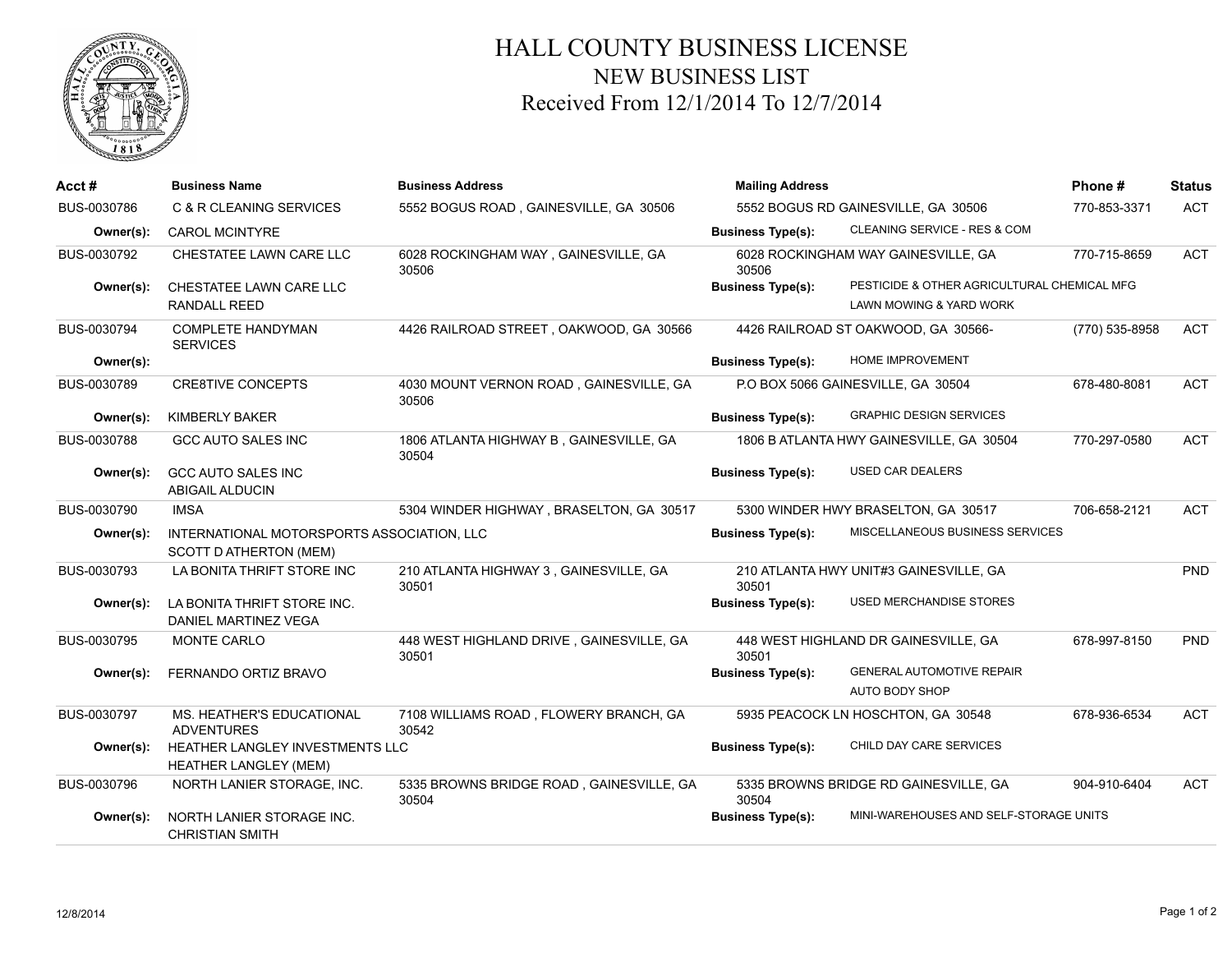

## HALL COUNTY BUSINESS LICENSE NEW BUSINESS LIST Received From 12/1/2014 To 12/7/2014

| Acct#       | <b>Business Name</b>                                                 | <b>Business Address</b>                           | <b>Mailing Address</b>   |                                                                        | Phone#         | <b>Status</b> |
|-------------|----------------------------------------------------------------------|---------------------------------------------------|--------------------------|------------------------------------------------------------------------|----------------|---------------|
| BUS-0030786 | C & R CLEANING SERVICES                                              | 5552 BOGUS ROAD, GAINESVILLE, GA 30506            |                          | 5552 BOGUS RD GAINESVILLE, GA 30506                                    | 770-853-3371   | <b>ACT</b>    |
| Owner(s):   | <b>CAROL MCINTYRE</b>                                                |                                                   | <b>Business Type(s):</b> | CLEANING SERVICE - RES & COM                                           |                |               |
| BUS-0030792 | CHESTATEE LAWN CARE LLC                                              | 6028 ROCKINGHAM WAY, GAINESVILLE, GA<br>30506     | 30506                    | 6028 ROCKINGHAM WAY GAINESVILLE, GA                                    | 770-715-8659   | <b>ACT</b>    |
| Owner(s):   | CHESTATEE LAWN CARE LLC<br><b>RANDALL REED</b>                       |                                                   | <b>Business Type(s):</b> | PESTICIDE & OTHER AGRICULTURAL CHEMICAL MFG<br>LAWN MOWING & YARD WORK |                |               |
| BUS-0030794 | <b>COMPLETE HANDYMAN</b><br><b>SERVICES</b>                          | 4426 RAILROAD STREET, OAKWOOD, GA 30566           |                          | 4426 RAILROAD ST OAKWOOD, GA 30566-                                    | (770) 535-8958 | <b>ACT</b>    |
| Owner(s):   |                                                                      |                                                   | <b>Business Type(s):</b> | HOME IMPROVEMENT                                                       |                |               |
| BUS-0030789 | <b>CRE8TIVE CONCEPTS</b>                                             | 4030 MOUNT VERNON ROAD, GAINESVILLE, GA<br>30506  |                          | P.O BOX 5066 GAINESVILLE, GA 30504                                     | 678-480-8081   | <b>ACT</b>    |
| Owner(s):   | <b>KIMBERLY BAKER</b>                                                |                                                   | <b>Business Type(s):</b> | <b>GRAPHIC DESIGN SERVICES</b>                                         |                |               |
| BUS-0030788 | <b>GCC AUTO SALES INC</b>                                            | 1806 ATLANTA HIGHWAY B, GAINESVILLE, GA<br>30504  |                          | 1806 B ATLANTA HWY GAINESVILLE, GA 30504                               | 770-297-0580   | <b>ACT</b>    |
| Owner(s):   | <b>GCC AUTO SALES INC</b><br><b>ABIGAIL ALDUCIN</b>                  |                                                   | <b>Business Type(s):</b> | USED CAR DEALERS                                                       |                |               |
| BUS-0030790 | <b>IMSA</b>                                                          | 5304 WINDER HIGHWAY, BRASELTON, GA 30517          |                          | 5300 WINDER HWY BRASELTON, GA 30517                                    | 706-658-2121   | <b>ACT</b>    |
| Owner(s):   | INTERNATIONAL MOTORSPORTS ASSOCIATION, LLC<br>SCOTT D ATHERTON (MEM) |                                                   | <b>Business Type(s):</b> | MISCELLANEOUS BUSINESS SERVICES                                        |                |               |
| BUS-0030793 | LA BONITA THRIFT STORE INC                                           | 210 ATLANTA HIGHWAY 3, GAINESVILLE, GA<br>30501   | 30501                    | 210 ATLANTA HWY UNIT#3 GAINESVILLE, GA                                 |                | <b>PND</b>    |
| Owner(s):   | LA BONITA THRIFT STORE INC.<br>DANIEL MARTINEZ VEGA                  |                                                   | <b>Business Type(s):</b> | <b>USED MERCHANDISE STORES</b>                                         |                |               |
| BUS-0030795 | MONTE CARLO                                                          | 448 WEST HIGHLAND DRIVE, GAINESVILLE, GA<br>30501 | 30501                    | 448 WEST HIGHLAND DR GAINESVILLE, GA                                   | 678-997-8150   | <b>PND</b>    |
| Owner(s):   | FERNANDO ORTIZ BRAVO                                                 |                                                   | <b>Business Type(s):</b> | <b>GENERAL AUTOMOTIVE REPAIR</b><br>AUTO BODY SHOP                     |                |               |
| BUS-0030797 | MS. HEATHER'S EDUCATIONAL<br><b>ADVENTURES</b>                       | 7108 WILLIAMS ROAD, FLOWERY BRANCH, GA<br>30542   |                          | 5935 PEACOCK LN HOSCHTON, GA 30548                                     | 678-936-6534   | <b>ACT</b>    |
| Owner(s):   | HEATHER LANGLEY INVESTMENTS LLC<br><b>HEATHER LANGLEY (MEM)</b>      |                                                   | <b>Business Type(s):</b> | CHILD DAY CARE SERVICES                                                |                |               |
| BUS-0030796 | NORTH LANIER STORAGE, INC.                                           | 5335 BROWNS BRIDGE ROAD, GAINESVILLE, GA<br>30504 | 30504                    | 5335 BROWNS BRIDGE RD GAINESVILLE, GA                                  | 904-910-6404   | <b>ACT</b>    |
| Owner(s):   | NORTH LANIER STORAGE INC.<br><b>CHRISTIAN SMITH</b>                  |                                                   | <b>Business Type(s):</b> | MINI-WAREHOUSES AND SELF-STORAGE UNITS                                 |                |               |